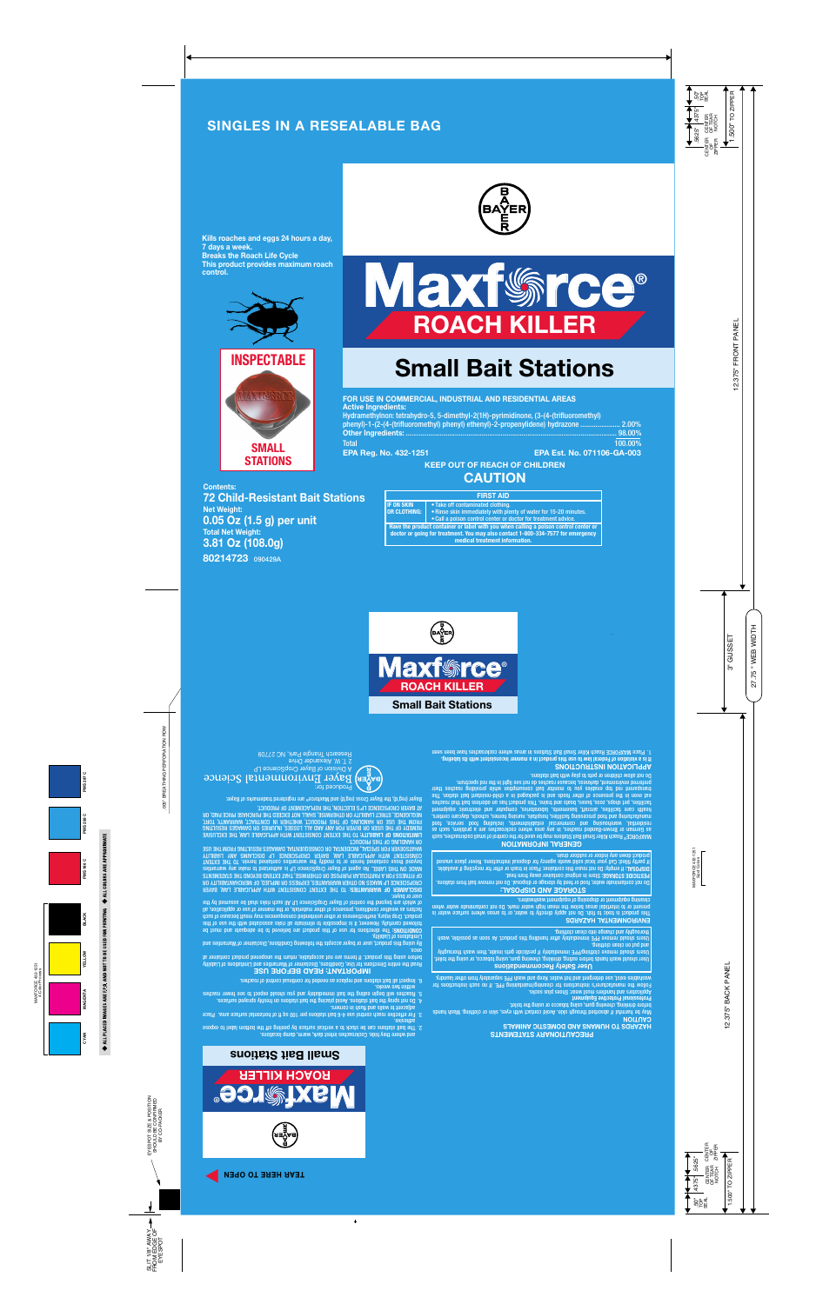## **SINGLES IN A RESEALABLE BAG**



**Kills roaches and eggs 24 hours a day, 7 days a week. Breaks the Roach Life Cycle This product provides maximum roach control.**







# **Small Bait Stations**

| FOR USE IN COMMERCIAL, INDUSTRIAL AND RESIDENTIAL AREAS                              |                                   |  |
|--------------------------------------------------------------------------------------|-----------------------------------|--|
| <b>Active Ingredients:</b>                                                           |                                   |  |
| Hydramethylnon: tetrahydro-5, 5-dimethyl-2(1H)-pyrimidinone, (3-(4-(trifluoromethyl) |                                   |  |
| phenyl)-1-(2-(4-(trifluoromethyl) phenyl) ethenyl)-2-propenylidene) hydrazone  2.00% |                                   |  |
|                                                                                      | $ 98.00\%$                        |  |
| <b>Total</b>                                                                         | 100.00%                           |  |
| <b>EPA Reg. No. 432-1251</b>                                                         | <b>EPA Est. No. 071106-GA-003</b> |  |
| <b>KEEP OUT OF REACH OF CHILDREN</b>                                                 |                                   |  |

**80214723** 090429A **Contents: 72 Child-Resistant Bait Stations Net Weight: 0.05 Oz (1.5 g) per unit Total Net Weight: 3.81 Oz (108.0g)**

| <b>FIRST AID</b>                                                                                                                                                                                           |                                                                                                                                                                         |
|------------------------------------------------------------------------------------------------------------------------------------------------------------------------------------------------------------|-------------------------------------------------------------------------------------------------------------------------------------------------------------------------|
| <b>IF ON SKIN</b><br><b>OR CLOTHING:</b>                                                                                                                                                                   | • Take off contaminated clothing.<br>. Rinse skin immediately with plenty of water for 15-20 minutes.<br>• Call a poison control center or doctor for treatment advice. |
| Have the product container or label with you when calling a poison control center or<br>doctor or going for treatment. You may also contact 1-800-334-7577 for emergency<br>medical treatment information. |                                                                                                                                                                         |

**CAUTION**